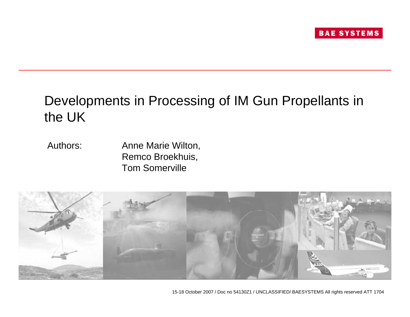# Developments in Processing of IM Gun Propellants in the UK

Authors: Anne Marie Wilton, Remco Broekhuis, Tom Somerville

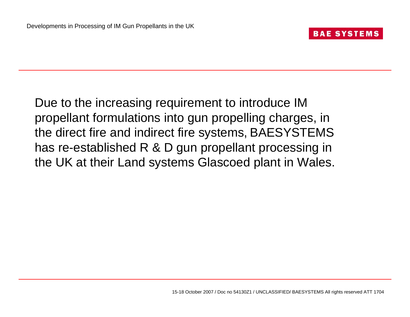Due to the increasing requirement to introduce IM propellant formulations into gun propelling charges, in the direct fire and indirect fire systems, BAESYSTEMS has re-established R & D gun propellant processing in the UK at their Land systems Glascoed plant in Wales.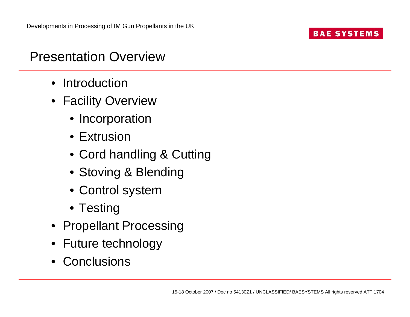## Presentation Overview

- Introduction
- Facility Overview
	- Incorporation
	- Extrusion
	- Cord handling & Cutting
	- Stoving & Blending
	- Control system
	- Testing
- Propellant Processing
- Future technology
- Conclusions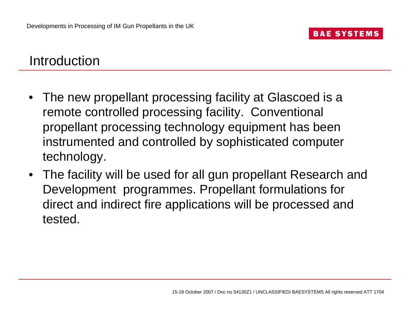## Introduction

- The new propellant processing facility at Glascoed is a remote controlled processing facility. Conventional propellant processing technology equipment has been instrumented and controlled by sophisticated computer technology.
- The facility will be used for all gun propellant Research and Development programmes. Propellant formulations for direct and indirect fire applications will be processed and tested.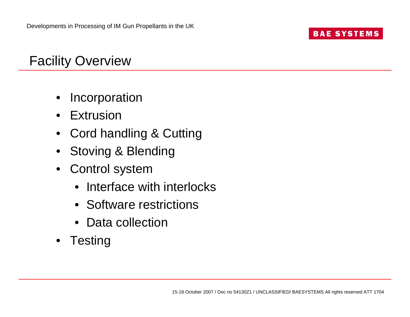# Facility Overview

- Incorporation
- Extrusion
- Cord handling & Cutting
- Stoving & Blending
- Control system
	- Interface with interlocks
	- Software restrictions
	- Data collection
- Testing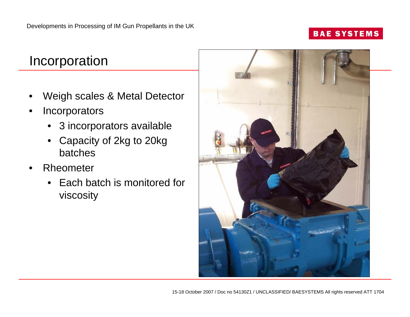## Incorporation

- Weigh scales & Metal Detector
- **Incorporators** 
	- 3 incorporators available
	- Capacity of 2kg to 20kg batches
- Rheometer
	- Each batch is monitored for viscosity

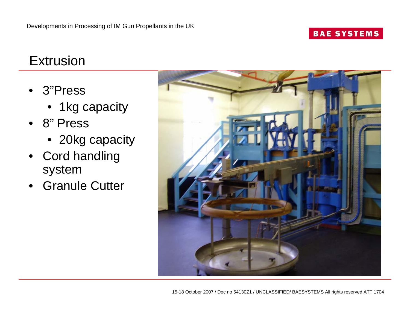## Extrusion

- 3"Press
	- 1kg capacity
- 8" Press
	- 20kg capacity
- Cord handling system
- Granule Cutter

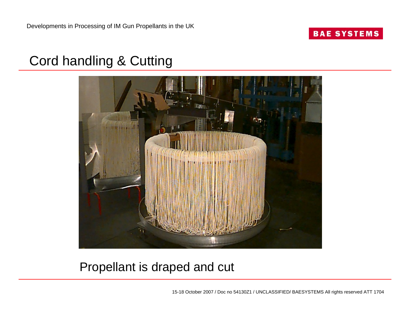# Cord handling & Cutting



#### Propellant is draped and cut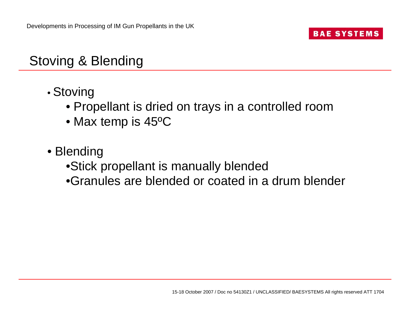# Stoving & Blending

- • Stoving
	- Propellant is dried on trays in a controlled room
	- Max temp is 45ºC
- Blending
	- •Stick propellant is manually blended
	- •Granules are blended or coated in a drum blender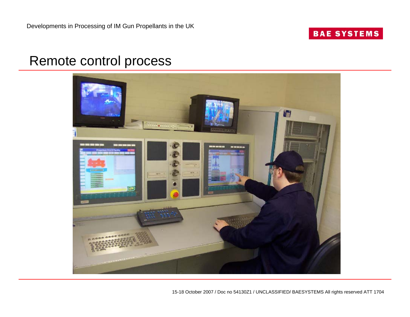#### Remote control process

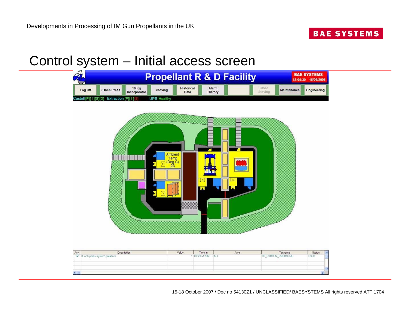# Control system – Initial access screen



| Ack | Description                | Value          | Time In      | Area | Tagname         | Status            |
|-----|----------------------------|----------------|--------------|------|-----------------|-------------------|
|     | inch press system pressure |                | 09 23:51 982 | ALL  | SYSTEM PRESSURE | LOLO <sup>1</sup> |
|     |                            |                |              |      |                 |                   |
|     |                            |                |              |      |                 |                   |
|     |                            |                |              |      |                 |                   |
| к   |                            | $\overline{a}$ |              |      |                 |                   |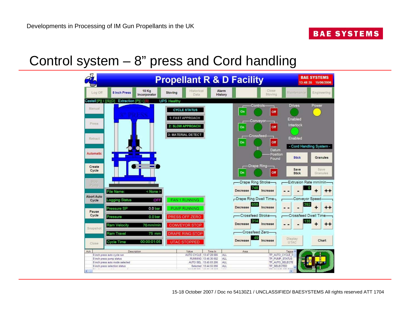# Control system – 8" press and Cord handling

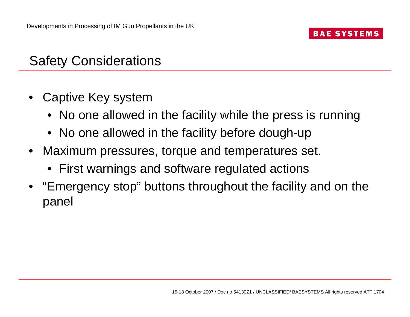# Safety Considerations

- Captive Key system
	- No one allowed in the facility while the press is running
	- No one allowed in the facility before dough-up
- Maximum pressures, torque and temperatures set.
	- First warnings and software regulated actions
- "Emergency stop" buttons throughout the facility and on the panel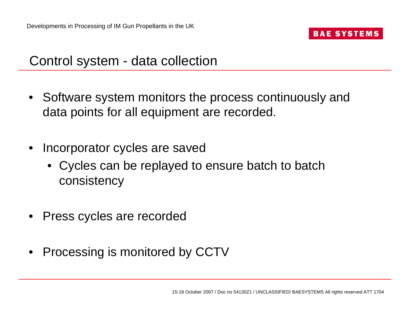## Control system - data collection

- Software system monitors the process continuously and data points for all equipment are recorded.
- Incorporator cycles are saved
	- Cycles can be replayed to ensure batch to batch consistency
- Press cycles are recorded
- Processing is monitored by CCTV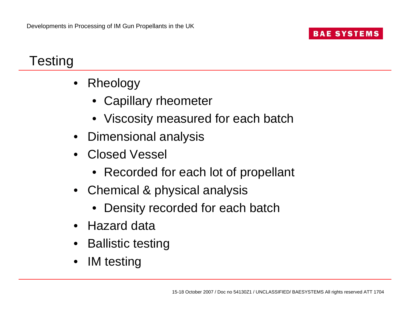# **Testing**

- Rheology
	- Capillary rheometer
	- Viscosity measured for each batch
- Dimensional analysis
- Closed Vessel
	- Recorded for each lot of propellant
- Chemical & physical analysis
	- Density recorded for each batch
- Hazard data
- Ballistic testing
- IM testing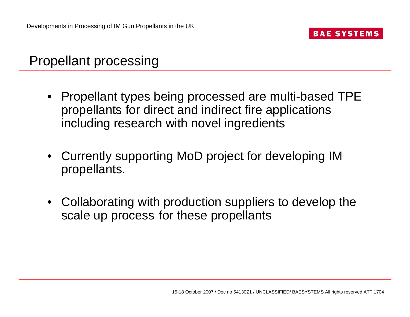## Propellant processing

- Propellant types being processed are multi-based TPE propellants for direct and indirect fire applications including research with novel ingredients
- Currently supporting MoD project for developing IM propellants.
- Collaborating with production suppliers to develop the scale up process for these propellants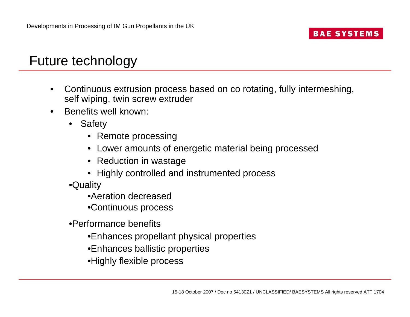## Future technology

- Continuous extrusion process based on co rotating, fully intermeshing, self wiping, twin screw extruder
- Benefits well known:
	- **Safety** 
		- Remote processing
		- Lower amounts of energetic material being processed
		- Reduction in wastage
		- Highly controlled and instrumented process
	- •Quality
		- •Aeration decreased
		- •Continuous process
	- •Performance benefits
		- •Enhances propellant physical properties
		- •Enhances ballistic properties
		- •Highly flexible process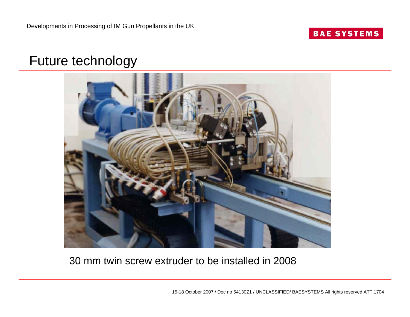## Future technology



#### 30 mm twin screw extruder to be installed in 2008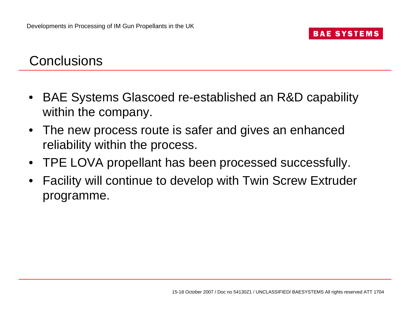## **Conclusions**

- BAE Systems Glascoed re-established an R&D capability within the company.
- The new process route is safer and gives an enhanced reliability within the process.
- TPE LOVA propellant has been processed successfully.
- Facility will continue to develop with Twin Screw Extruder programme.